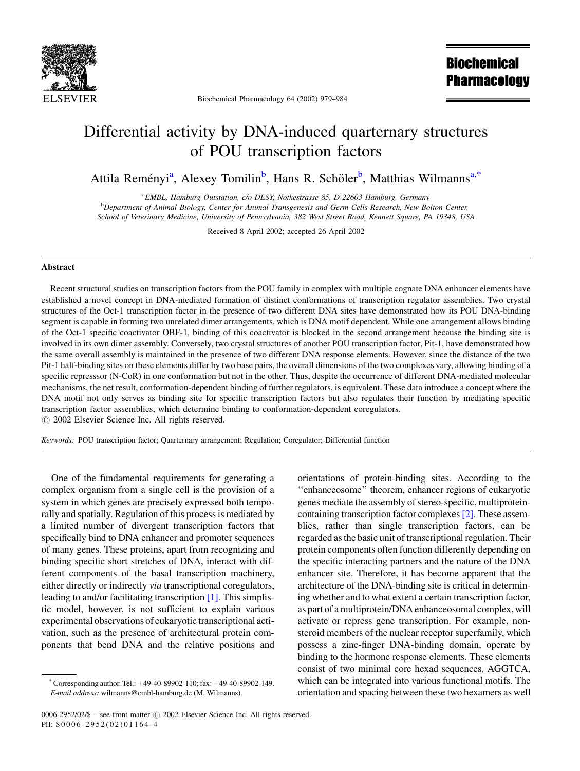

Biochemical Pharmacology 64 (2002) 979-984

**Biochemical Pharmacology** 

# Differential activity by DNA-induced quarternary structures of POU transcription factors

Attila Reményi<sup>a</sup>, Alexey Tomilin<sup>b</sup>, Hans R. Schöler<sup>b</sup>, Matthias Wilmanns<sup>a,\*</sup>

<sup>a</sup>EMBL, Hamburg Outstation, c/o DESY, Notkestrasse 85, D-22603 Hamburg, Germany <sup>b</sup>Department of Animal Biology, Center for Animal Transgenesis and Germ Cells Research, New Bolton Center, School of Veterinary Medicine, University of Pennsylvania, 382 West Street Road, Kennett Square, PA 19348, USA

Received 8 April 2002; accepted 26 April 2002

#### Abstract

Recent structural studies on transcription factors from the POU family in complex with multiple cognate DNA enhancer elements have established a novel concept in DNA-mediated formation of distinct conformations of transcription regulator assemblies. Two crystal structures of the Oct-1 transcription factor in the presence of two different DNA sites have demonstrated how its POU DNA-binding segment is capable in forming two unrelated dimer arrangements, which is DNA motif dependent. While one arrangement allows binding of the Oct-1 specific coactivator OBF-1, binding of this coactivator is blocked in the second arrangement because the binding site is involved in its own dimer assembly. Conversely, two crystal structures of another POU transcription factor, Pit-1, have demonstrated how the same overall assembly is maintained in the presence of two different DNA response elements. However, since the distance of the two Pit-1 half-binding sites on these elements differ by two base pairs, the overall dimensions of the two complexes vary, allowing binding of a specific represssor (N-CoR) in one conformation but not in the other. Thus, despite the occurrence of different DNA-mediated molecular mechanisms, the net result, conformation-dependent binding of further regulators, is equivalent. These data introduce a concept where the DNA motif not only serves as binding site for specific transcription factors but also regulates their function by mediating specific transcription factor assemblies, which determine binding to conformation-dependent coregulators. © 2002 Elsevier Science Inc. All rights reserved.

Keywords: POU transcription factor; Quarternary arrangement; Regulation; Coregulator; Differential function

One of the fundamental requirements for generating a complex organism from a single cell is the provision of a system in which genes are precisely expressed both temporally and spatially. Regulation of this process is mediated by a limited number of divergent transcription factors that specifically bind to DNA enhancer and promoter sequences of many genes. These proteins, apart from recognizing and binding specific short stretches of DNA, interact with different components of the basal transcription machinery, either directly or indirectly *via* transcriptional coregulators, leading to and/or facilitating transcription  $[1]$ . This simplistic model, however, is not sufficient to explain various experimental observations of eukaryotic transcriptional activation, such as the presence of architectural protein components that bend DNA and the relative positions and

containing transcription factor complexes [2]. These assemblies, rather than single transcription factors, can be regarded as the basic unit of transcriptional regulation. Their protein components often function differently depending on the specific interacting partners and the nature of the DNA enhancer site. Therefore, it has become apparent that the architecture of the DNA-binding site is critical in determining whether and to what extent a certain transcription factor, as part of a multiprotein/DNA enhanceosomal complex, will activate or repress gene transcription. For example, nonsteroid members of the nuclear receptor superfamily, which possess a zinc-finger DNA-binding domain, operate by binding to the hormone response elements. These elements consist of two minimal core hexad sequences, AGGTCA, which can be integrated into various functional motifs. The orientation and spacing between these two hexamers as well

orientations of protein-binding sites. According to the

"enhanceosome" theorem, enhancer regions of eukaryotic

genes mediate the assembly of stereo-specific, multiprotein-

Corresponding author. Tel.:  $+49-40-89902-110$ ; fax:  $+49-40-89902-149$ . E-mail address: wilmanns@embl-hamburg.de (M. Wilmanns).

<sup>0006-2952/02/\$ –</sup> see front matter © 2002 Elsevier Science Inc. All rights reserved. PII: S0006-2952(02)01164-4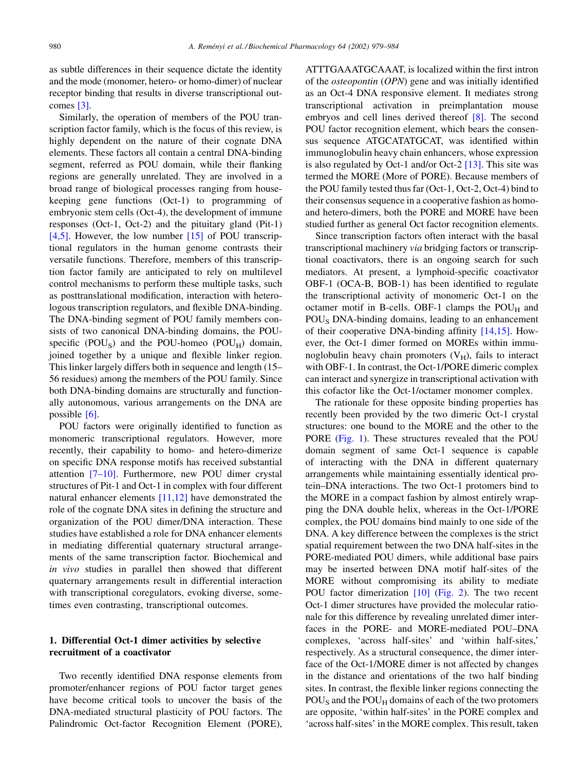as subtle differences in their sequence dictate the identity and the mode (monomer, hetero- or homo-dimer) of nuclear receptor binding that results in diverse transcriptional outcomes  $[3]$ .

Similarly, the operation of members of the POU transcription factor family, which is the focus of this review, is highly dependent on the nature of their cognate DNA elements. These factors all contain a central DNA-binding segment, referred as POU domain, while their flanking regions are generally unrelated. They are involved in a broad range of biological processes ranging from housekeeping gene functions (Oct-1) to programming of embryonic stem cells (Oct-4), the development of immune responses (Oct-1, Oct-2) and the pituitary gland (Pit-1) [4,5]. However, the low number  $[15]$  of POU transcriptional regulators in the human genome contrasts their versatile functions. Therefore, members of this transcription factor family are anticipated to rely on multilevel control mechanisms to perform these multiple tasks, such as posttranslational modification, interaction with heterologous transcription regulators, and flexible DNA-binding. The DNA-binding segment of POU family members consists of two canonical DNA-binding domains, the POUspecific (POU<sub>S</sub>) and the POU-homeo (POU<sub>H</sub>) domain, joined together by a unique and flexible linker region. This linker largely differs both in sequence and length (15– 56 residues) among the members of the POU family. Since both DNA-binding domains are structurally and functionally autonomous, various arrangements on the DNA are possible  $[6]$ .

POU factors were originally identified to function as monomeric transcriptional regulators. However, more recently, their capability to homo- and hetero-dimerize on specific DNA response motifs has received substantial attention  $[7-10]$ . Furthermore, new POU dimer crystal structures of Pit-1 and Oct-1 in complex with four different natural enhancer elements  $[11,12]$  have demonstrated the role of the cognate DNA sites in defining the structure and organization of the POU dimer/DNA interaction. These studies have established a role for DNA enhancer elements in mediating differential quaternary structural arrangements of the same transcription factor. Biochemical and in vivo studies in parallel then showed that different quaternary arrangements result in differential interaction with transcriptional coregulators, evoking diverse, sometimes even contrasting, transcriptional outcomes.

### 1. Differential Oct-1 dimer activities by selective recruitment of a coactivator

Two recently identified DNA response elements from promoter/enhancer regions of POU factor target genes have become critical tools to uncover the basis of the DNA-mediated structural plasticity of POU factors. The Palindromic Oct-factor Recognition Element (PORE), ATTTGAAATGCAAAT, is localized within the first intron of the *osteopontin* (*OPN*) gene and was initially identified as an Oct-4 DNA responsive element. It mediates strong transcriptional activation in preimplantation mouse embryos and cell lines derived thereof  $[8]$ . The second POU factor recognition element, which bears the consensus sequence ATGCATATGCAT, was identified within immunoglobulin heavy chain enhancers, whose expression is also regulated by Oct-1 and/or Oct-2  $[13]$ . This site was termed the MORE (More of PORE). Because members of the POU family tested thus far (Oct-1, Oct-2, Oct-4) bind to their consensus sequence in a cooperative fashion as homoand hetero-dimers, both the PORE and MORE have been studied further as general Oct factor recognition elements.

Since transcription factors often interact with the basal transcriptional machinery via bridging factors or transcriptional coactivators, there is an ongoing search for such mediators. At present, a lymphoid-specific coactivator OBF-1 (OCA-B, BOB-1) has been identified to regulate the transcriptional activity of monomeric Oct-1 on the octamer motif in B-cells. OBF-1 clamps the  $POU_H$  and POU<sub>S</sub> DNA-binding domains, leading to an enhancement of their cooperative DNA-binding affinity [14,15]. However, the Oct-1 dimer formed on MOREs within immunoglobulin heavy chain promoters  $(V_H)$ , fails to interact with OBF-1. In contrast, the Oct-1/PORE dimeric complex can interact and synergize in transcriptional activation with this cofactor like the Oct-1/octamer monomer complex.

The rationale for these opposite binding properties has recently been provided by the two dimeric Oct-1 crystal structures: one bound to the MORE and the other to the PORE (Fig. 1). These structures revealed that the POU domain segment of same Oct-1 sequence is capable of interacting with the DNA in different quaternary arrangements while maintaining essentially identical protein–DNA interactions. The two Oct-1 protomers bind to the MORE in a compact fashion by almost entirely wrapping the DNA double helix, whereas in the Oct-1/PORE complex, the POU domains bind mainly to one side of the DNA. A key difference between the complexes is the strict spatial requirement between the two DNA half-sites in the PORE-mediated POU dimers, while additional base pairs may be inserted between DNA motif half-sites of the MORE without compromising its ability to mediate POU factor dimerization  $[10]$  (Fig. 2). The two recent Oct-1 dimer structures have provided the molecular rationale for this difference by revealing unrelated dimer interfaces in the PORE- and MORE-mediated POU-DNA complexes, 'across half-sites' and 'within half-sites,' respectively. As a structural consequence, the dimer interface of the Oct-1/MORE dimer is not affected by changes in the distance and orientations of the two half binding sites. In contrast, the flexible linker regions connecting the  $POU<sub>S</sub>$  and the  $POU<sub>H</sub>$  domains of each of the two protomers are opposite, 'within half-sites' in the PORE complex and 'across half-sites' in the MORE complex. This result, taken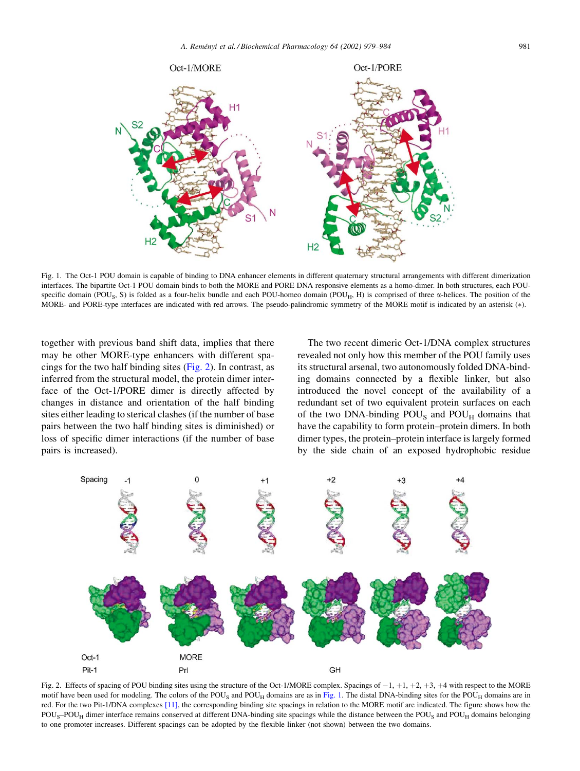<span id="page-2-0"></span>

Fig. 1. The Oct-1 POU domain is capable of binding to DNA enhancer elements in different quaternary structural arrangements with different dimerization interfaces. The bipartite Oct-1 POU domain binds to both the MORE and PORE DNA responsive elements as a homo-dimer. In both structures, each POUspecific domain (POU<sub>S</sub>, S) is folded as a four-helix bundle and each POU-homeo domain (POU<sub>H</sub>, H) is comprised of three  $\alpha$ -helices. The position of the MORE- and PORE-type interfaces are indicated with red arrows. The pseudo-palindromic symmetry of the MORE motif is indicated by an asterisk (\*).

together with previous band shift data, implies that there may be other MORE-type enhancers with different spacings for the two half binding sites (Fig. 2). In contrast, as inferred from the structural model, the protein dimer interface of the Oct-1/PORE dimer is directly affected by changes in distance and orientation of the half binding sites either leading to sterical clashes (if the number of base pairs between the two half binding sites is diminished) or loss of specific dimer interactions (if the number of base pairs is increased).

The two recent dimeric Oct-1/DNA complex structures revealed not only how this member of the POU family uses its structural arsenal, two autonomously folded DNA-binding domains connected by a flexible linker, but also introduced the novel concept of the availability of a redundant set of two equivalent protein surfaces on each of the two DNA-binding POU<sub>S</sub> and POU<sub>H</sub> domains that have the capability to form protein–protein dimers. In both dimer types, the protein–protein interface is largely formed by the side chain of an exposed hydrophobic residue



Fig. 2. Effects of spacing of POU binding sites using the structure of the Oct-1/MORE complex. Spacings of  $-1$ ,  $+1$ ,  $+2$ ,  $+3$ ,  $+4$  with respect to the MORE motif have been used for modeling. The colors of the POU<sub>S</sub> and POU<sub>H</sub> domains are as in Fig. 1. The distal DNA-binding sites for the POU<sub>H</sub> domains are in red. For the two Pit-1/DNA complexes [11], the corresponding binding site spacings in relation to the MORE motif are indicated. The figure shows how the  $POU<sub>S</sub>-POU<sub>H</sub>$  dimer interface remains conserved at different DNA-binding site spacings while the distance between the  $POU<sub>S</sub>$  and  $POU<sub>H</sub>$  domains belonging to one promoter increases. Different spacings can be adopted by the flexible linker (not shown) between the two domains.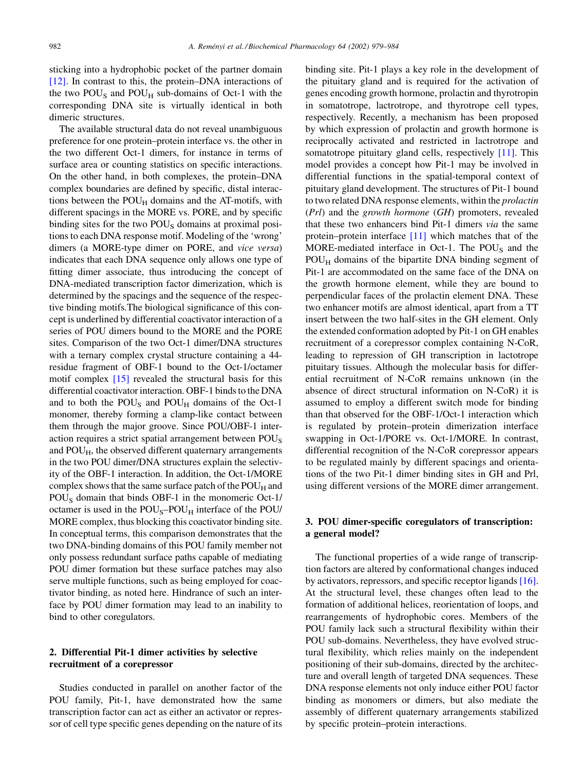sticking into a hydrophobic pocket of the partner domain  $[12]$ . In contrast to this, the protein–DNA interactions of the two  $POU<sub>S</sub>$  and  $POU<sub>H</sub>$  sub-domains of Oct-1 with the corresponding DNA site is virtually identical in both dimeric structures.

The available structural data do not reveal unambiguous preference for one protein–protein interface vs. the other in the two different Oct-1 dimers, for instance in terms of surface area or counting statistics on specific interactions. On the other hand, in both complexes, the protein–DNA complex boundaries are defined by specific, distal interactions between the  $POU_H$  domains and the AT-motifs, with different spacings in the MORE vs. PORE, and by specific binding sites for the two POU<sub>S</sub> domains at proximal positions to each DNA response motif. Modeling of the 'wrong' dimers (a MORE-type dimer on PORE, and vice versa) indicates that each DNA sequence only allows one type of fitting dimer associate, thus introducing the concept of DNA-mediated transcription factor dimerization, which is determined by the spacings and the sequence of the respective binding motifs. The biological significance of this concept is underlined by differential coactivator interaction of a series of POU dimers bound to the MORE and the PORE sites. Comparison of the two Oct-1 dimer/DNA structures with a ternary complex crystal structure containing a 44residue fragment of OBF-1 bound to the Oct-1/octamer motif complex [15] revealed the structural basis for this differential coactivator interaction. OBF-1 binds to the DNA and to both the POU<sub>S</sub> and POU<sub>H</sub> domains of the Oct-1 monomer, thereby forming a clamp-like contact between them through the major groove. Since POU/OBF-1 interaction requires a strict spatial arrangement between POU<sub>S</sub> and  $POU_H$ , the observed different quaternary arrangements in the two POU dimer/DNA structures explain the selectivity of the OBF-1 interaction. In addition, the Oct-1/MORE complex shows that the same surface patch of the  $POU_H$  and  $POU<sub>S</sub>$  domain that binds OBF-1 in the monomeric Oct-1/ octamer is used in the POU<sub>S</sub>-POU<sub>H</sub> interface of the POU/ MORE complex, thus blocking this coactivator binding site. In conceptual terms, this comparison demonstrates that the two DNA-binding domains of this POU family member not only possess redundant surface paths capable of mediating POU dimer formation but these surface patches may also serve multiple functions, such as being employed for coactivator binding, as noted here. Hindrance of such an interface by POU dimer formation may lead to an inability to bind to other coregulators.

## 2. Differential Pit-1 dimer activities by selective recruitment of a corepressor

Studies conducted in parallel on another factor of the POU family, Pit-1, have demonstrated how the same transcription factor can act as either an activator or repressor of cell type specific genes depending on the nature of its binding site. Pit-1 plays a key role in the development of the pituitary gland and is required for the activation of genes encoding growth hormone, prolactin and thyrotropin in somatotrope, lactrotrope, and thyrotrope cell types, respectively. Recently, a mechanism has been proposed by which expression of prolactin and growth hormone is reciprocally activated and restricted in lactrotrope and somatotrope pituitary gland cells, respectively [11]. This model provides a concept how Pit-1 may be involved in differential functions in the spatial-temporal context of pituitary gland development. The structures of Pit-1 bound to two related DNA response elements, within the *prolactin* (Prl) and the growth hormone (GH) promoters, revealed that these two enhancers bind Pit-1 dimers via the same protein–protein interface  $[11]$  which matches that of the MORE-mediated interface in Oct-1. The  $POU<sub>S</sub>$  and the POU<sub>H</sub> domains of the bipartite DNA binding segment of Pit-1 are accommodated on the same face of the DNA on the growth hormone element, while they are bound to perpendicular faces of the prolactin element DNA. These two enhancer motifs are almost identical, apart from a TT insert between the two half-sites in the GH element. Only the extended conformation adopted by Pit-1 on GH enables recruitment of a corepressor complex containing N-CoR, leading to repression of GH transcription in lactotrope pituitary tissues. Although the molecular basis for differential recruitment of N-CoR remains unknown (in the absence of direct structural information on N-CoR) it is assumed to employ a different switch mode for binding than that observed for the OBF-1/Oct-1 interaction which is regulated by protein–protein dimerization interface swapping in Oct-1/PORE vs. Oct-1/MORE. In contrast, differential recognition of the N-CoR corepressor appears to be regulated mainly by different spacings and orientations of the two Pit-1 dimer binding sites in GH and Prl, using different versions of the MORE dimer arrangement.

## 3. POU dimer-specific coregulators of transcription: a general model?

The functional properties of a wide range of transcription factors are altered by conformational changes induced by activators, repressors, and specific receptor ligands  $[16]$ . At the structural level, these changes often lead to the formation of additional helices, reorientation of loops, and rearrangements of hydrophobic cores. Members of the POU family lack such a structural flexibility within their POU sub-domains. Nevertheless, they have evolved structural flexibility, which relies mainly on the independent positioning of their sub-domains, directed by the architecture and overall length of targeted DNA sequences. These DNA response elements not only induce either POU factor binding as monomers or dimers, but also mediate the assembly of different quaternary arrangements stabilized by specific protein–protein interactions.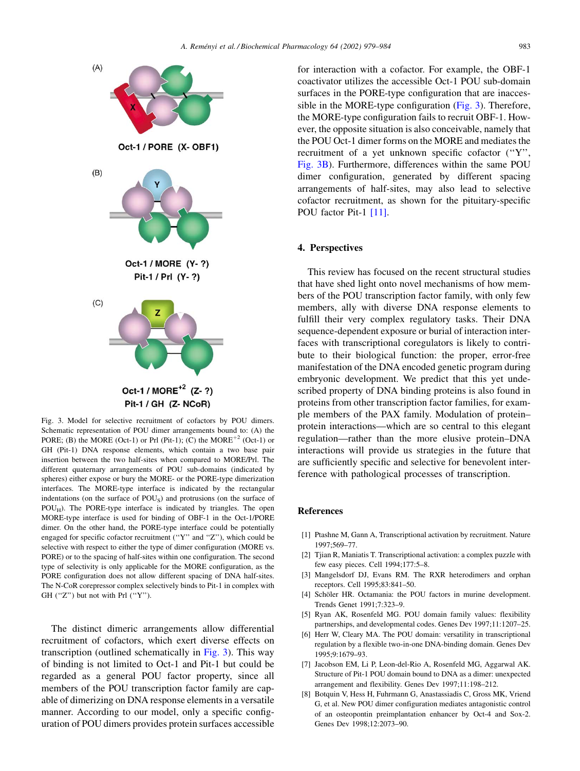<span id="page-4-0"></span>

Fig. 3. Model for selective recruitment of cofactors by POU dimers. Schematic representation of POU dimer arrangements bound to: (A) the PORE; (B) the MORE (Oct-1) or Prl (Pit-1); (C) the  $MORE<sup>+2</sup>$  (Oct-1) or GH (Pit-1) DNA response elements, which contain a two base pair insertion between the two half-sites when compared to MORE/Prl. The different quaternary arrangements of POU sub-domains (indicated by spheres) either expose or bury the MORE- or the PORE-type dimerization interfaces. The MORE-type interface is indicated by the rectangular indentations (on the surface of POU<sub>S</sub>) and protrusions (on the surface of POU<sub>H</sub>). The PORE-type interface is indicated by triangles. The open MORE-type interface is used for binding of OBF-1 in the Oct-1/PORE dimer. On the other hand, the PORE-type interface could be potentially engaged for specific cofactor recruitment ("Y" and "Z"), which could be selective with respect to either the type of dimer configuration (MORE vs. PORE) or to the spacing of half-sites within one configuration. The second type of selectivity is only applicable for the MORE configuration, as the PORE configuration does not allow different spacing of DNA half-sites. The N-CoR corepressor complex selectively binds to Pit-1 in complex with GH $('Z")$  but not with Prl $('Y")$ .

The distinct dimeric arrangements allow differential recruitment of cofactors, which exert diverse effects on transcription (outlined schematically in Fig. 3). This way of binding is not limited to Oct-1 and Pit-1 but could be regarded as a general POU factor property, since all members of the POU transcription factor family are capable of dimerizing on DNA response elements in a versatile manner. According to our model, only a specific configuration of POU dimers provides protein surfaces accessible

for interaction with a cofactor. For example, the OBF-1 coactivator utilizes the accessible Oct-1 POU sub-domain surfaces in the PORE-type configuration that are inaccessible in the MORE-type configuration (Fig. 3). Therefore, the MORE-type configuration fails to recruit OBF-1. However, the opposite situation is also conceivable, namely that the POU Oct-1 dimer forms on the MORE and mediates the recruitment of a yet unknown specific cofactor ("Y", Fig. 3B). Furthermore, differences within the same POU dimer configuration, generated by different spacing arrangements of half-sites, may also lead to selective cofactor recruitment, as shown for the pituitary-specific POU factor Pit-1 [11].

#### 4. Perspectives

This review has focused on the recent structural studies that have shed light onto novel mechanisms of how members of the POU transcription factor family, with only few members, ally with diverse DNA response elements to fulfill their very complex regulatory tasks. Their DNA sequence-dependent exposure or burial of interaction interfaces with transcriptional coregulators is likely to contribute to their biological function: the proper, error-free manifestation of the DNA encoded genetic program during embryonic development. We predict that this yet undescribed property of DNA binding proteins is also found in proteins from other transcription factor families, for example members of the PAX family. Modulation of proteinprotein interactions—which are so central to this elegant regulation-rather than the more elusive protein-DNA interactions will provide us strategies in the future that are sufficiently specific and selective for benevolent interference with pathological processes of transcription.

#### **References**

- [1] Ptashne M, Gann A, Transcriptional activation by recruitment. Nature 1997:569-77.
- [2] Tijan R, Maniatis T. Transcriptional activation: a complex puzzle with few easy pieces. Cell 1994;177:5-8.
- [3] Mangelsdorf DJ, Evans RM. The RXR heterodimers and orphan receptors. Cell 1995;83:841-50.
- [4] Schöler HR. Octamania: the POU factors in murine development. Trends Genet 1991:7:323-9
- [5] Rvan AK, Rosenfeld MG, POU domain family values: flexibility partnerships, and developmental codes. Genes Dev 1997;11:1207-25.
- [6] Herr W, Cleary MA. The POU domain: versatility in transcriptional regulation by a flexible two-in-one DNA-binding domain. Genes Dev 1995;9:1679-93.
- [7] Jacobson EM, Li P, Leon-del-Rio A, Rosenfeld MG, Aggarwal AK. Structure of Pit-1 POU domain bound to DNA as a dimer: unexpected arrangement and flexibility. Genes Dev 1997;11:198-212.
- [8] Botquin V, Hess H, Fuhrmann G, Anastassiadis C, Gross MK, Vriend G, et al. New POU dimer configuration mediates antagonistic control of an osteopontin preimplantation enhancer by Oct-4 and Sox-2. Genes Dev 1998;12:2073-90.